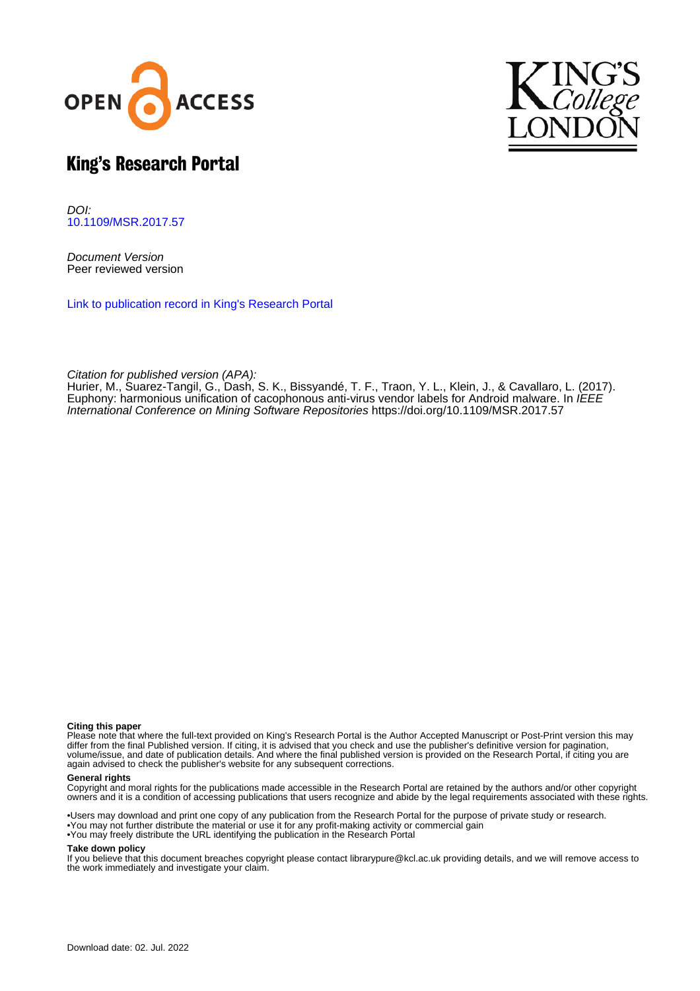



## King's Research Portal

DOI: [10.1109/MSR.2017.57](https://doi.org/10.1109/MSR.2017.57)

Document Version Peer reviewed version

[Link to publication record in King's Research Portal](https://kclpure.kcl.ac.uk/portal/en/publications/euphony(d42784d6-ef20-476d-b39b-af7cf6a36488).html)

Citation for published version (APA):

Hurier, M.[, Suarez-Tangil, G.,](https://kclpure.kcl.ac.uk/portal/en/persons/guillermo-suarez-de-tangil-rotaeche(b9be786a-6131-433d-a2fe-4b7006ee4e0f).html) Dash, S. K., Bissyandé, T. F., Traon, Y. L., Klein, J.[, & Cavallaro, L.](https://kclpure.kcl.ac.uk/portal/en/persons/lorenzo-cavallaro(03bc6371-26c0-4b53-8987-e38fa17b0441).html) (2017). [Euphony: harmonious unification of cacophonous anti-virus vendor labels for Android malware](https://kclpure.kcl.ac.uk/portal/en/publications/euphony(d42784d6-ef20-476d-b39b-af7cf6a36488).html). In *IEEE* International Conference on Mining Software Repositories <https://doi.org/10.1109/MSR.2017.57>

#### **Citing this paper**

Please note that where the full-text provided on King's Research Portal is the Author Accepted Manuscript or Post-Print version this may differ from the final Published version. If citing, it is advised that you check and use the publisher's definitive version for pagination, volume/issue, and date of publication details. And where the final published version is provided on the Research Portal, if citing you are again advised to check the publisher's website for any subsequent corrections.

#### **General rights**

Copyright and moral rights for the publications made accessible in the Research Portal are retained by the authors and/or other copyright owners and it is a condition of accessing publications that users recognize and abide by the legal requirements associated with these rights.

•Users may download and print one copy of any publication from the Research Portal for the purpose of private study or research. •You may not further distribute the material or use it for any profit-making activity or commercial gain •You may freely distribute the URL identifying the publication in the Research Portal

#### **Take down policy**

If you believe that this document breaches copyright please contact librarypure@kcl.ac.uk providing details, and we will remove access to the work immediately and investigate your claim.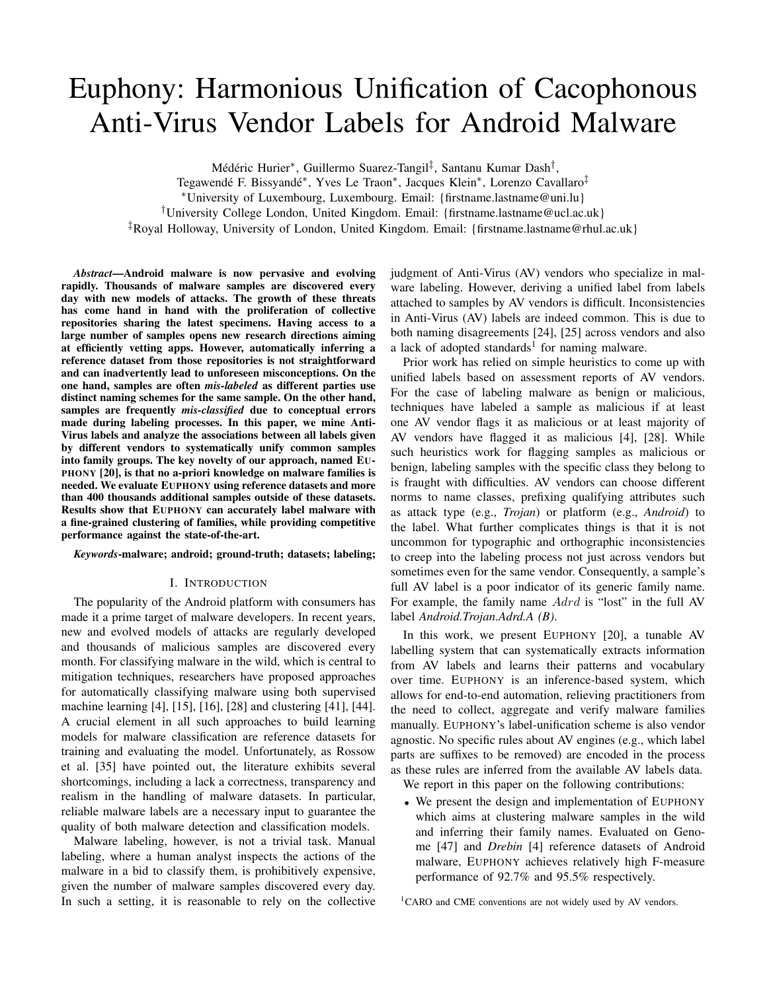# Euphony: Harmonious Unification of Cacophonous Anti-Virus Vendor Labels for Android Malware

Médéric Hurier\*, Guillermo Suarez-Tangil<sup>‡</sup>, Santanu Kumar Dash<sup>†</sup>,

Tegawendé F. Bissyandé<sup>∗</sup> , Yves Le Traon<sup>∗</sup> , Jacques Klein<sup>∗</sup> , Lorenzo Cavallaro‡

<sup>∗</sup>University of Luxembourg, Luxembourg. Email: {firstname.lastname@uni.lu}

†University College London, United Kingdom. Email: {firstname.lastname@ucl.ac.uk}

‡Royal Holloway, University of London, United Kingdom. Email: {firstname.lastname@rhul.ac.uk}

*Abstract*—Android malware is now pervasive and evolving rapidly. Thousands of malware samples are discovered every day with new models of attacks. The growth of these threats has come hand in hand with the proliferation of collective repositories sharing the latest specimens. Having access to a large number of samples opens new research directions aiming at efficiently vetting apps. However, automatically inferring a reference dataset from those repositories is not straightforward and can inadvertently lead to unforeseen misconceptions. On the one hand, samples are often *mis-labeled* as different parties use distinct naming schemes for the same sample. On the other hand, samples are frequently *mis-classified* due to conceptual errors made during labeling processes. In this paper, we mine Anti-Virus labels and analyze the associations between all labels given by different vendors to systematically unify common samples into family groups. The key novelty of our approach, named EU-PHONY [\[20\]](#page-11-0), is that no a-priori knowledge on malware families is needed. We evaluate EUPHONY using reference datasets and more than 400 thousands additional samples outside of these datasets. Results show that EUPHONY can accurately label malware with a fine-grained clustering of families, while providing competitive performance against the state-of-the-art.

#### *Keywords*-malware; android; ground-truth; datasets; labeling;

#### I. INTRODUCTION

The popularity of the Android platform with consumers has made it a prime target of malware developers. In recent years, new and evolved models of attacks are regularly developed and thousands of malicious samples are discovered every month. For classifying malware in the wild, which is central to mitigation techniques, researchers have proposed approaches for automatically classifying malware using both supervised machine learning [\[4\]](#page-11-1), [\[15\]](#page-11-2), [\[16\]](#page-11-3), [\[28\]](#page-11-4) and clustering [\[41\]](#page-11-5), [\[44\]](#page-11-6). A crucial element in all such approaches to build learning models for malware classification are reference datasets for training and evaluating the model. Unfortunately, as Rossow et al. [\[35\]](#page-11-7) have pointed out, the literature exhibits several shortcomings, including a lack a correctness, transparency and realism in the handling of malware datasets. In particular, reliable malware labels are a necessary input to guarantee the quality of both malware detection and classification models.

Malware labeling, however, is not a trivial task. Manual labeling, where a human analyst inspects the actions of the malware in a bid to classify them, is prohibitively expensive, given the number of malware samples discovered every day. In such a setting, it is reasonable to rely on the collective judgment of Anti-Virus (AV) vendors who specialize in malware labeling. However, deriving a unified label from labels attached to samples by AV vendors is difficult. Inconsistencies in Anti-Virus (AV) labels are indeed common. This is due to both naming disagreements [\[24\]](#page-11-8), [\[25\]](#page-11-9) across vendors and also a lack of adopted standards<sup>[1](#page-1-0)</sup> for naming malware.

Prior work has relied on simple heuristics to come up with unified labels based on assessment reports of AV vendors. For the case of labeling malware as benign or malicious, techniques have labeled a sample as malicious if at least one AV vendor flags it as malicious or at least majority of AV vendors have flagged it as malicious [\[4\]](#page-11-1), [\[28\]](#page-11-4). While such heuristics work for flagging samples as malicious or benign, labeling samples with the specific class they belong to is fraught with difficulties. AV vendors can choose different norms to name classes, prefixing qualifying attributes such as attack type (e.g., *Trojan*) or platform (e.g., *Android*) to the label. What further complicates things is that it is not uncommon for typographic and orthographic inconsistencies to creep into the labeling process not just across vendors but sometimes even for the same vendor. Consequently, a sample's full AV label is a poor indicator of its generic family name. For example, the family name Adrd is "lost" in the full AV label *Android.Trojan.Adrd.A (B)*.

In this work, we present EUPHONY [\[20\]](#page-11-0), a tunable AV labelling system that can systematically extracts information from AV labels and learns their patterns and vocabulary over time. EUPHONY is an inference-based system, which allows for end-to-end automation, relieving practitioners from the need to collect, aggregate and verify malware families manually. EUPHONY's label-unification scheme is also vendor agnostic. No specific rules about AV engines (e.g., which label parts are suffixes to be removed) are encoded in the process as these rules are inferred from the available AV labels data.

We report in this paper on the following contributions:

• We present the design and implementation of EUPHONY which aims at clustering malware samples in the wild and inferring their family names. Evaluated on Genome [\[47\]](#page-11-10) and *Drebin* [\[4\]](#page-11-1) reference datasets of Android malware, EUPHONY achieves relatively high F-measure performance of 92.7% and 95.5% respectively.

<span id="page-1-0"></span><sup>1</sup>CARO and CME conventions are not widely used by AV vendors.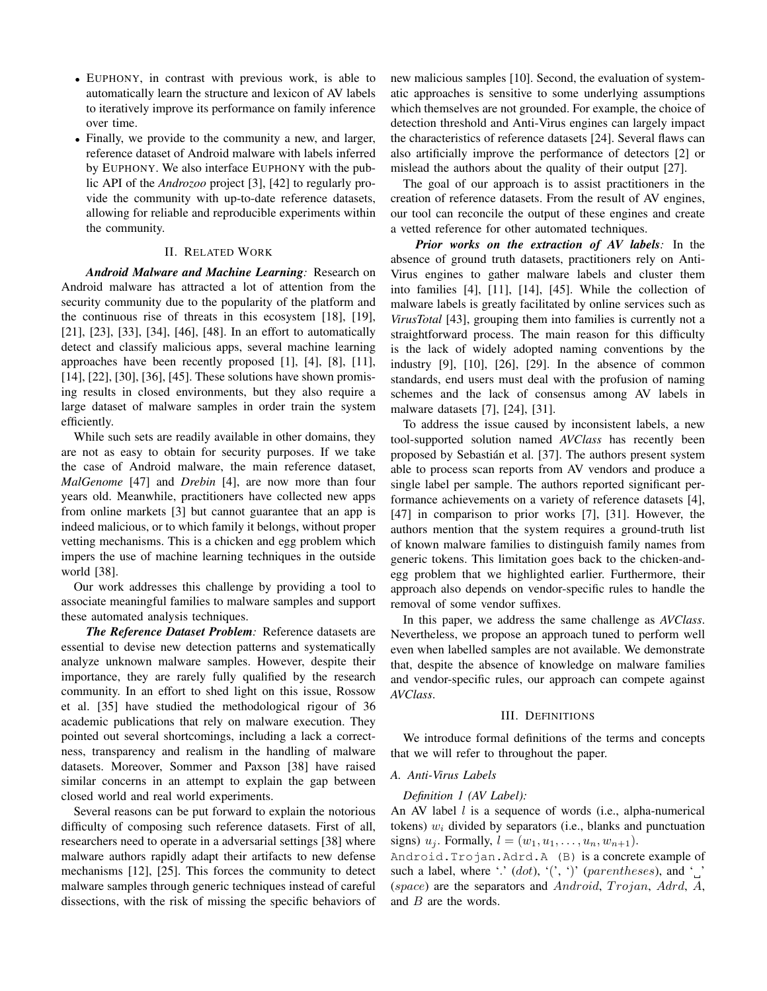- EUPHONY, in contrast with previous work, is able to automatically learn the structure and lexicon of AV labels to iteratively improve its performance on family inference over time.
- Finally, we provide to the community a new, and larger, reference dataset of Android malware with labels inferred by EUPHONY. We also interface EUPHONY with the public API of the *Androzoo* project [\[3\]](#page-11-11), [\[42\]](#page-11-12) to regularly provide the community with up-to-date reference datasets, allowing for reliable and reproducible experiments within the community.

#### II. RELATED WORK

*Android Malware and Machine Learning:* Research on Android malware has attracted a lot of attention from the security community due to the popularity of the platform and the continuous rise of threats in this ecosystem [\[18\]](#page-11-13), [\[19\]](#page-11-14), [\[21\]](#page-11-15), [\[23\]](#page-11-16), [\[33\]](#page-11-17), [\[34\]](#page-11-18), [\[46\]](#page-11-19), [\[48\]](#page-11-20). In an effort to automatically detect and classify malicious apps, several machine learning approaches have been recently proposed [\[1\]](#page-10-0), [\[4\]](#page-11-1), [\[8\]](#page-11-21), [\[11\]](#page-11-22), [\[14\]](#page-11-23), [\[22\]](#page-11-24), [\[30\]](#page-11-25), [\[36\]](#page-11-26), [\[45\]](#page-11-27). These solutions have shown promising results in closed environments, but they also require a large dataset of malware samples in order train the system efficiently.

While such sets are readily available in other domains, they are not as easy to obtain for security purposes. If we take the case of Android malware, the main reference dataset, *MalGenome* [\[47\]](#page-11-10) and *Drebin* [\[4\]](#page-11-1), are now more than four years old. Meanwhile, practitioners have collected new apps from online markets [\[3\]](#page-11-11) but cannot guarantee that an app is indeed malicious, or to which family it belongs, without proper vetting mechanisms. This is a chicken and egg problem which impers the use of machine learning techniques in the outside world [\[38\]](#page-11-28).

Our work addresses this challenge by providing a tool to associate meaningful families to malware samples and support these automated analysis techniques.

*The Reference Dataset Problem:* Reference datasets are essential to devise new detection patterns and systematically analyze unknown malware samples. However, despite their importance, they are rarely fully qualified by the research community. In an effort to shed light on this issue, Rossow et al. [\[35\]](#page-11-7) have studied the methodological rigour of 36 academic publications that rely on malware execution. They pointed out several shortcomings, including a lack a correctness, transparency and realism in the handling of malware datasets. Moreover, Sommer and Paxson [\[38\]](#page-11-28) have raised similar concerns in an attempt to explain the gap between closed world and real world experiments.

Several reasons can be put forward to explain the notorious difficulty of composing such reference datasets. First of all, researchers need to operate in a adversarial settings [\[38\]](#page-11-28) where malware authors rapidly adapt their artifacts to new defense mechanisms [\[12\]](#page-11-29), [\[25\]](#page-11-9). This forces the community to detect malware samples through generic techniques instead of careful dissections, with the risk of missing the specific behaviors of new malicious samples [\[10\]](#page-11-30). Second, the evaluation of systematic approaches is sensitive to some underlying assumptions which themselves are not grounded. For example, the choice of detection threshold and Anti-Virus engines can largely impact the characteristics of reference datasets [\[24\]](#page-11-8). Several flaws can also artificially improve the performance of detectors [\[2\]](#page-10-1) or mislead the authors about the quality of their output [\[27\]](#page-11-31).

The goal of our approach is to assist practitioners in the creation of reference datasets. From the result of AV engines, our tool can reconcile the output of these engines and create a vetted reference for other automated techniques.

*Prior works on the extraction of AV labels:* In the absence of ground truth datasets, practitioners rely on Anti-Virus engines to gather malware labels and cluster them into families [\[4\]](#page-11-1), [\[11\]](#page-11-22), [\[14\]](#page-11-23), [\[45\]](#page-11-27). While the collection of malware labels is greatly facilitated by online services such as *VirusTotal* [\[43\]](#page-11-32), grouping them into families is currently not a straightforward process. The main reason for this difficulty is the lack of widely adopted naming conventions by the industry [\[9\]](#page-11-33), [\[10\]](#page-11-30), [\[26\]](#page-11-34), [\[29\]](#page-11-35). In the absence of common standards, end users must deal with the profusion of naming schemes and the lack of consensus among AV labels in malware datasets [\[7\]](#page-11-36), [\[24\]](#page-11-8), [\[31\]](#page-11-37).

To address the issue caused by inconsistent labels, a new tool-supported solution named *AVClass* has recently been proposed by Sebastián et al. [\[37\]](#page-11-38). The authors present system able to process scan reports from AV vendors and produce a single label per sample. The authors reported significant performance achievements on a variety of reference datasets [\[4\]](#page-11-1), [\[47\]](#page-11-10) in comparison to prior works [\[7\]](#page-11-36), [\[31\]](#page-11-37). However, the authors mention that the system requires a ground-truth list of known malware families to distinguish family names from generic tokens. This limitation goes back to the chicken-andegg problem that we highlighted earlier. Furthermore, their approach also depends on vendor-specific rules to handle the removal of some vendor suffixes.

In this paper, we address the same challenge as *AVClass*. Nevertheless, we propose an approach tuned to perform well even when labelled samples are not available. We demonstrate that, despite the absence of knowledge on malware families and vendor-specific rules, our approach can compete against *AVClass*.

#### III. DEFINITIONS

We introduce formal definitions of the terms and concepts that we will refer to throughout the paper.

#### *A. Anti-Virus Labels*

#### *Definition 1 (AV Label):*

An AV label  $l$  is a sequence of words (i.e., alpha-numerical tokens)  $w_i$  divided by separators (i.e., blanks and punctuation signs)  $u_j$ . Formally,  $l = (w_1, u_1, \ldots, u_n, w_{n+1}).$ 

Android.Trojan.Adrd.A (B) is a concrete example of such a label, where '.'  $(dot)$ , '(', ')' (parentheses), and '  $(space)$  are the separators and Android, Trojan, Adrd, A, and B are the words.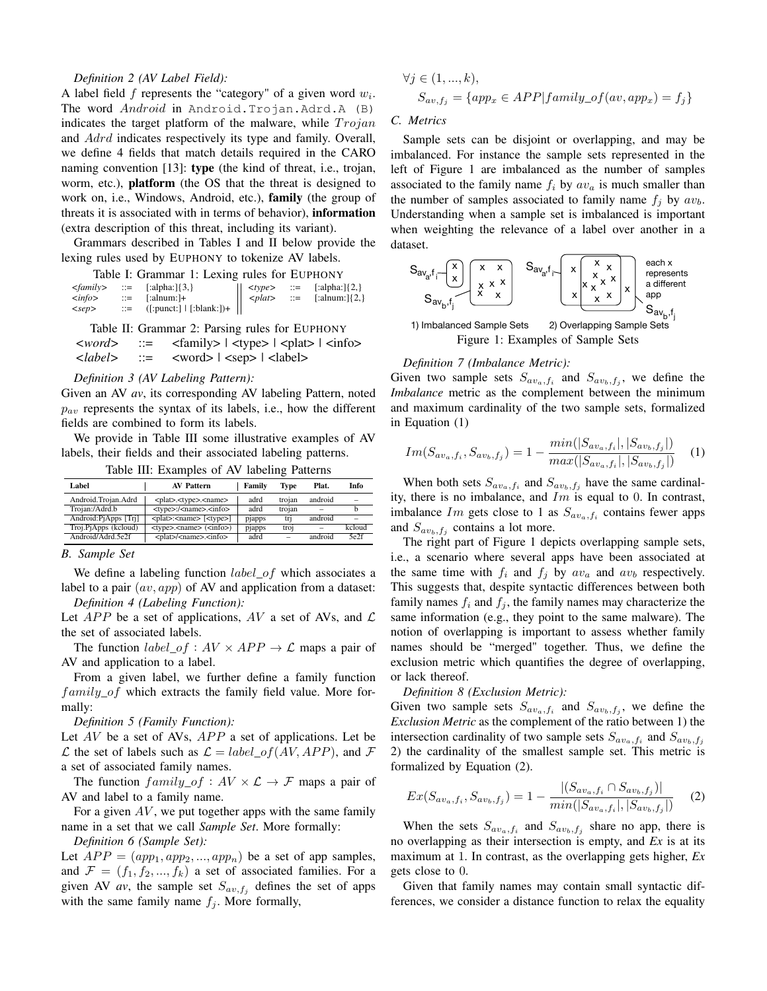#### *Definition 2 (AV Label Field):*

A label field  $f$  represents the "category" of a given word  $w_i$ . The word *Android* in Android.Trojan.Adrd.A (B) indicates the target platform of the malware, while  $T_{\text{rojan}}$ and *Adrd* indicates respectively its type and family. Overall, we define 4 fields that match details required in the CARO naming convention [\[13\]](#page-11-39): **type** (the kind of threat, i.e., trojan, worm, etc.), platform (the OS that the threat is designed to work on, i.e., Windows, Android, etc.), family (the group of threats it is associated with in terms of behavior), information (extra description of this threat, including its variant).

Grammars described in Tables [I](#page-3-0) and [II](#page-3-1) below provide the lexing rules used by EUPHONY to tokenize AV labels.

<span id="page-3-0"></span>

|                       | $\langle family \rangle$ ::= [:alpha:]{3,} |  | $\vert \vert \langle \text{type} \rangle \vert ::= \vert \text{[alpha:]} \{2, \} \vert$ |
|-----------------------|--------------------------------------------|--|-----------------------------------------------------------------------------------------|
| $\langle$ <i>info</i> | $ ::=$ [:alnum:]+                          |  | $> plate$ ::= [:alnum:]{2,}                                                             |
| $<$ sep $>$           | $ ::= ([:punct:]  [:blank:])+  $           |  |                                                                                         |

<span id="page-3-1"></span>Table II: Grammar 2: Parsing rules for EUPHONY  $\langle \text{word} \rangle$  ::=  $\langle \text{family} \rangle$  |  $\langle \text{type} \rangle$  |  $\langle \text{plate} \rangle$  |  $\langle \text{info} \rangle$ *<label>* ::= <word> | <sep> | <label>

#### *Definition 3 (AV Labeling Pattern):*

Given an AV *av*, its corresponding AV labeling Pattern, noted  $p_{av}$  represents the syntax of its labels, i.e., how the different fields are combined to form its labels.

We provide in Table [III](#page-3-2) some illustrative examples of AV labels, their fields and their associated labeling patterns.

|  |  |  |  |  | Table III: Examples of AV labeling Patterns |
|--|--|--|--|--|---------------------------------------------|
|--|--|--|--|--|---------------------------------------------|

<span id="page-3-2"></span>

| Label                | <b>AV Pattern</b>                           | Family | <b>Type</b>    | Plat.                    | Info   |
|----------------------|---------------------------------------------|--------|----------------|--------------------------|--------|
| Android.Trojan.Adrd  | <plat>.<type>.<name></name></type></plat>   | adrd   | troian         | android                  |        |
| Trojan:/Adrd.b       | <type>:/<name>.<info></info></name></type>  | adrd   | trojan         | $\overline{\phantom{a}}$ |        |
| Android:PjApps [Trj] | <plat>:<name> [<type>]</type></name></plat> | pjapps | tri            | android                  |        |
| Troj.PjApps (kcloud) | $<$ type $>$ . $<$ name $>$ $(<$ info $>$ ) | pjapps | troj           | $\overline{\phantom{a}}$ | kcloud |
| Android/Adrd.5e2f    | <plat>/<name>.<info></info></name></plat>   | adrd   | $\overline{a}$ | android                  | 5e2f   |

#### *B. Sample Set*

We define a labeling function  $label\_of$  which associates a label to a pair  $(av, app)$  of AV and application from a dataset: *Definition 4 (Labeling Function):*

Let  $APP$  be a set of applications, AV a set of AVs, and  $\mathcal L$ the set of associated labels.

The function  $label\_of : AV \times APP \rightarrow \mathcal{L}$  maps a pair of AV and application to a label.

From a given label, we further define a family function  $family\_of$  which extracts the family field value. More formally:

*Definition 5 (Family Function):*

Let  $AV$  be a set of AVs,  $APP$  a set of applications. Let be  $\mathcal L$  the set of labels such as  $\mathcal L = label_{of}(AV, APP)$ , and  $\mathcal F$ a set of associated family names.

The function  $family\_of : AV \times \mathcal{L} \rightarrow \mathcal{F}$  maps a pair of AV and label to a family name.

For a given  $AV$ , we put together apps with the same family name in a set that we call *Sample Set*. More formally:

*Definition 6 (Sample Set):*

Let  $APP = (app_1, app_2, ..., app_n)$  be a set of app samples, and  $\mathcal{F} = (f_1, f_2, ..., f_k)$  a set of associated families. For a given AV *av*, the sample set  $S_{av,f_j}$  defines the set of apps with the same family name  $f_i$ . More formally,

$$
\forall j \in (1, ..., k),
$$
  
\n
$$
S_{av, f_j} = \{app_x \in APP|family\_of(av, app_x) = f_j\}
$$

### <span id="page-3-6"></span>C. Metrics

1, Sample sets can be disjoint or overlapping, and may be imbalanced. For instance the sample sets represented in the left of Figure [1](#page-3-3) are imbalanced as the number of samples associated to the family name  $f_i$  by  $a v_a$  is much smaller than the number of samples associated to family name  $f_j$  by  $av_b$ . Understanding when a sample set is imbalanced is important when weighting the relevance of a label over another in a dataset.

<span id="page-3-3"></span>

#### *Definition 7 (Imbalance Metric):*

Given two sample sets  $S_{a v_a, f_i}$  and  $S_{a v_b, f_j}$ , we define the *Imbalance* metric as the complement between the minimum and maximum cardinality of the two sample sets, formalized in Equation [\(1\)](#page-3-4)

<span id="page-3-4"></span>
$$
Im(S_{av_a,f_i}, S_{av_b,f_j}) = 1 - \frac{min(|S_{av_a,f_i}|, |S_{av_b,f_j}|)}{max(|S_{av_a,f_i}|, |S_{av_b,f_j}|)} \quad (1)
$$

When both sets  $S_{av_a,f_i}$  and  $S_{av_b,f_j}$  have the same cardinality, there is no imbalance, and  $Im$  is equal to 0. In contrast, imbalance Im gets close to 1 as  $S_{av_a,f_i}$  contains fewer apps and  $S_{av_b, f_j}$  contains a lot more.

The right part of Figure [1](#page-3-3) depicts overlapping sample sets, i.e., a scenario where several apps have been associated at the same time with  $f_i$  and  $f_j$  by  $a v_a$  and  $a v_b$  respectively. This suggests that, despite syntactic differences between both family names  $f_i$  and  $f_j$ , the family names may characterize the same information (e.g., they point to the same malware). The notion of overlapping is important to assess whether family names should be "merged" together. Thus, we define the exclusion metric which quantifies the degree of overlapping, or lack thereof.

#### *Definition 8 (Exclusion Metric):*

Given two sample sets  $S_{av_a,f_i}$  and  $S_{av_b,f_j}$ , we define the *Exclusion Metric* as the complement of the ratio between 1) the intersection cardinality of two sample sets  $S_{av_a,f_i}$  and  $S_{av_b,f_j}$ 2) the cardinality of the smallest sample set. This metric is formalized by Equation [\(2\)](#page-3-5).

<span id="page-3-5"></span>
$$
Ex(S_{av_a,f_i}, S_{av_b,f_j}) = 1 - \frac{|(S_{av_a,f_i} \cap S_{av_b,f_j})|}{min(|S_{av_a,f_i}|, |S_{av_b,f_j}|)}
$$
(2)

When the sets  $S_{\alpha v_a, f_i}$  and  $S_{\alpha v_b, f_j}$  share no app, there is no overlapping as their intersection is empty, and *Ex* is at its maximum at 1. In contrast, as the overlapping gets higher, *Ex* gets close to 0.

Given that family names may contain small syntactic differences, we consider a distance function to relax the equality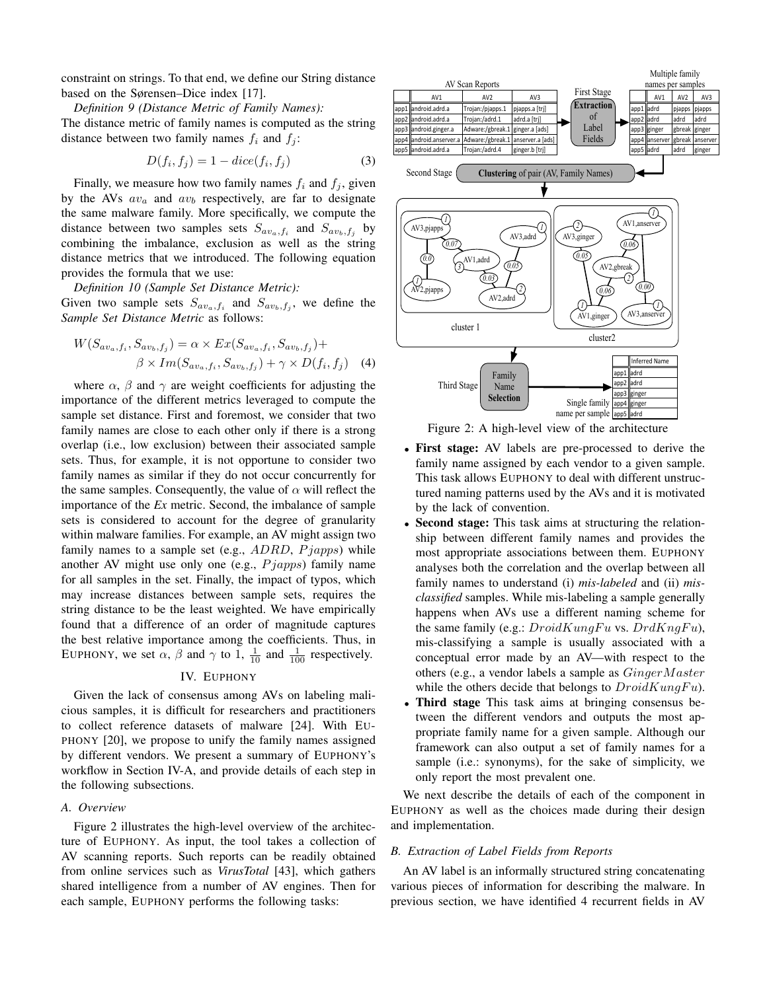constraint on strings. To that end, we define our String distance based on the Sørensen–Dice index [\[17\]](#page-11-40).

*Definition 9 (Distance Metric of Family Names):*

The distance metric of family names is computed as the string distance between two family names  $f_i$  and  $f_j$ :

$$
D(f_i, f_j) = 1 - dice(f_i, f_j)
$$
\n<sup>(3)</sup>

Finally, we measure how two family names  $f_i$  and  $f_j$ , given by the AVs  $av_a$  and  $av_b$  respectively, are far to designate the same malware family. More specifically, we compute the distance between two samples sets  $S_{av_a,f_i}$  and  $S_{av_b,f_j}$  by combining the imbalance, exclusion as well as the string distance metrics that we introduced. The following equation provides the formula that we use:

*Definition 10 (Sample Set Distance Metric):*

Given two sample sets  $S_{av_a,f_i}$  and  $S_{av_b,f_j}$ , we define the *Sample Set Distance Metric* as follows:

$$
W(S_{av_a,f_i}, S_{av_b,f_j}) = \alpha \times Ex(S_{av_a,f_i}, S_{av_b,f_j}) +
$$
  

$$
\beta \times Im(S_{av_a,f_i}, S_{av_b,f_j}) + \gamma \times D(f_i, f_j)
$$
 (4)

where  $\alpha$ ,  $\beta$  and  $\gamma$  are weight coefficients for adjusting the importance of the different metrics leveraged to compute the sample set distance. First and foremost, we consider that two family names are close to each other only if there is a strong overlap (i.e., low exclusion) between their associated sample sets. Thus, for example, it is not opportune to consider two family names as similar if they do not occur concurrently for the same samples. Consequently, the value of  $\alpha$  will reflect the importance of the *Ex* metric. Second, the imbalance of sample sets is considered to account for the degree of granularity within malware families. For example, an AV might assign two family names to a sample set (e.g.,  $ADRD$ ,  $Pjapps$ ) while another AV might use only one (e.g.,  $P$ *japps*) family name for all samples in the set. Finally, the impact of typos, which may increase distances between sample sets, requires the string distance to be the least weighted. We have empirically found that a difference of an order of magnitude captures the best relative importance among the coefficients. Thus, in EUPHONY, we set  $\alpha$ ,  $\beta$  and  $\gamma$  to 1,  $\frac{1}{10}$  and  $\frac{1}{100}$  respectively.

#### IV. EUPHONY

Given the lack of consensus among AVs on labeling malicious samples, it is difficult for researchers and practitioners to collect reference datasets of malware [\[24\]](#page-11-8). With EU-PHONY [\[20\]](#page-11-0), we propose to unify the family names assigned by different vendors. We present a summary of EUPHONY's workflow in Section [IV-A,](#page-4-0) and provide details of each step in the following subsections.

#### <span id="page-4-0"></span>*A. Overview*

Figure [2](#page-4-1) illustrates the high-level overview of the architecture of EUPHONY. As input, the tool takes a collection of AV scanning reports. Such reports can be readily obtained from online services such as *VirusTotal* [\[43\]](#page-11-32), which gathers shared intelligence from a number of AV engines. Then for each sample, EUPHONY performs the following tasks:

<span id="page-4-1"></span>

Figure 2: A high-level view of the architecture

- First stage: AV labels are pre-processed to derive the family name assigned by each vendor to a given sample. This task allows EUPHONY to deal with different unstructured naming patterns used by the AVs and it is motivated by the lack of convention.
- Second stage: This task aims at structuring the relationship between different family names and provides the most appropriate associations between them. EUPHONY analyses both the correlation and the overlap between all family names to understand (i) *mis-labeled* and (ii) *misclassified* samples. While mis-labeling a sample generally happens when AVs use a different naming scheme for the same family (e.g.:  $DroidKungFu$  vs.  $DrdKnqFu$ ), mis-classifying a sample is usually associated with a conceptual error made by an AV—with respect to the others (e.g., a vendor labels a sample as  $GingerMaster$ while the others decide that belongs to  $DroidKungFu$ ).
- Third stage This task aims at bringing consensus between the different vendors and outputs the most appropriate family name for a given sample. Although our framework can also output a set of family names for a sample (i.e.: synonyms), for the sake of simplicity, we only report the most prevalent one.

We next describe the details of each of the component in EUPHONY as well as the choices made during their design and implementation.

#### *B. Extraction of Label Fields from Reports*

An AV label is an informally structured string concatenating various pieces of information for describing the malware. In previous section, we have identified 4 recurrent fields in AV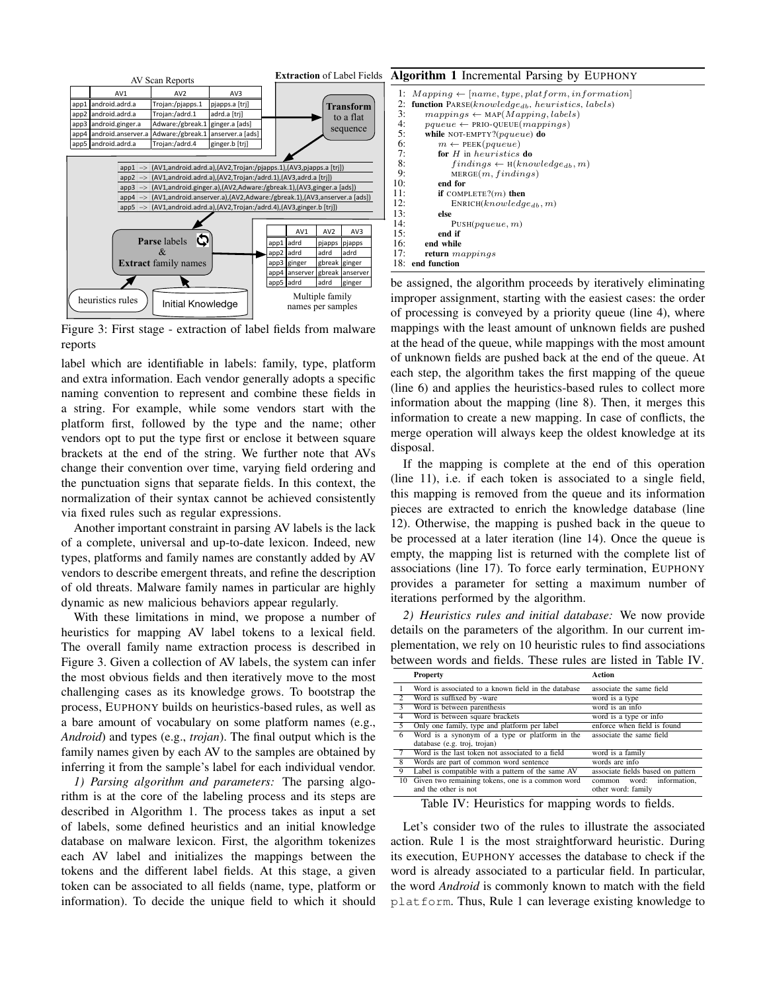<span id="page-5-0"></span>

Figure 3: First stage - extraction of label fields from malware reports

label which are identifiable in labels: family, type, platform and extra information. Each vendor generally adopts a specific naming convention to represent and combine these fields in a string. For example, while some vendors start with the platform first, followed by the type and the name; other vendors opt to put the type first or enclose it between square brackets at the end of the string. We further note that AVs change their convention over time, varying field ordering and the punctuation signs that separate fields. In this context, the normalization of their syntax cannot be achieved consistently via fixed rules such as regular expressions.

Another important constraint in parsing AV labels is the lack of a complete, universal and up-to-date lexicon. Indeed, new types, platforms and family names are constantly added by AV vendors to describe emergent threats, and refine the description of old threats. Malware family names in particular are highly dynamic as new malicious behaviors appear regularly.

With these limitations in mind, we propose a number of heuristics for mapping AV label tokens to a lexical field. The overall family name extraction process is described in Figure [3.](#page-5-0) Given a collection of AV labels, the system can infer the most obvious fields and then iteratively move to the most challenging cases as its knowledge grows. To bootstrap the process, EUPHONY builds on heuristics-based rules, as well as a bare amount of vocabulary on some platform names (e.g., *Android*) and types (e.g., *trojan*). The final output which is the family names given by each AV to the samples are obtained by inferring it from the sample's label for each individual vendor.

*1) Parsing algorithm and parameters:* The parsing algorithm is at the core of the labeling process and its steps are described in Algorithm [1.](#page-5-1) The process takes as input a set of labels, some defined heuristics and an initial knowledge database on malware lexicon. First, the algorithm tokenizes each AV label and initializes the mappings between the tokens and the different label fields. At this stage, a given token can be associated to all fields (name, type, platform or information). To decide the unique field to which it should

#### <span id="page-5-1"></span>Algorithm 1 Incremental Parsing by EUPHONY 1:  $Mapping \leftarrow [name, type, platform, information]$ <br>2: function PARSF(knowledge  $\mu$ , heuristics labels) 2: **function**  $PARSE(knowledge_{db}, heuristics, labels)$ <br>3:  $mannings \leftarrow \text{MAP}(Manning, labels)$ 3: mappings ← MAP(Mapping, labels)<br>4: pqueue ← PRIO-QUEUE(mappings)  $pqueue \leftarrow \texttt{PRIO-QUEUE}(mappings)$ 5: while NOT-EMPTY?(pqueue) do<br>6:  $m \leftarrow \text{PEEK}(pqueue)$ 6:  $m \leftarrow \text{PEEK}(pqueue)$ <br>7: **for** *H* in heuristics 7: **for** *H* in heuristics **do**<br>8: **findings**  $\leftarrow$  **H**(kno 8:  $\text{findings} \leftarrow \text{H}(knowledge_{db}, m)$ <br>9:  $\text{MREGE}(m\_finding)$ 9: MERGE $(m, findings)$ <br>10: **end for** end for 11: **if** COMPLETE?(*m*) then<br>12: **ENRICH**(*knowledg*) 12: ENRICH $(knowledge_{db}, m)$ <br>13: else 13: else 14:  $PUSH(pqueue, m)$ <br>15: **end if** 15: end if<br>16: end while 16: end while<br> $\frac{17}{2}$  return  $\frac{17}{2}$ return mappings 18: end function

be assigned, the algorithm proceeds by iteratively eliminating improper assignment, starting with the easiest cases: the order of processing is conveyed by a priority queue (line 4), where mappings with the least amount of unknown fields are pushed at the head of the queue, while mappings with the most amount of unknown fields are pushed back at the end of the queue. At each step, the algorithm takes the first mapping of the queue (line 6) and applies the heuristics-based rules to collect more information about the mapping (line 8). Then, it merges this information to create a new mapping. In case of conflicts, the merge operation will always keep the oldest knowledge at its disposal.

If the mapping is complete at the end of this operation (line 11), i.e. if each token is associated to a single field, this mapping is removed from the queue and its information pieces are extracted to enrich the knowledge database (line 12). Otherwise, the mapping is pushed back in the queue to be processed at a later iteration (line 14). Once the queue is empty, the mapping list is returned with the complete list of associations (line 17). To force early termination, EUPHONY provides a parameter for setting a maximum number of iterations performed by the algorithm.

*2) Heuristics rules and initial database:* We now provide details on the parameters of the algorithm. In our current implementation, we rely on 10 heuristic rules to find associations between words and fields. These rules are listed in Table [IV.](#page-5-2)

<span id="page-5-2"></span>

|                         | <b>Property</b>                                                          | Action                                             |
|-------------------------|--------------------------------------------------------------------------|----------------------------------------------------|
|                         | Word is associated to a known field in the database                      | associate the same field                           |
| 2                       | Word is suffixed by -ware                                                | word is a type                                     |
| $\overline{\mathbf{3}}$ | Word is between parenthesis                                              | word is an info                                    |
| $\overline{4}$          | Word is between square brackets                                          | word is a type or info                             |
| $\overline{5}$          | Only one family, type and platform per label                             | enforce when field is found                        |
| 6                       | Word is a synonym of a type or platform in the                           | associate the same field                           |
|                         | database (e.g. troj, trojan)                                             |                                                    |
|                         | Word is the last token not associated to a field                         | word is a family                                   |
| $\overline{8}$          | Words are part of common word sentence                                   | words are info                                     |
| 9                       | Label is compatible with a pattern of the same AV                        | associate fields based on pattern                  |
| 10                      | Given two remaining tokens, one is a common word<br>and the other is not | information.<br>common word:<br>other word: family |
|                         | $T = 11$ $T = T$<br>$\cdot$ . $\cdot$<br>$\epsilon$                      | $1 \cdot C$ $11$                                   |

Table IV: Heuristics for mapping words to fields.

Let's consider two of the rules to illustrate the associated action. Rule 1 is the most straightforward heuristic. During its execution, EUPHONY accesses the database to check if the word is already associated to a particular field. In particular, the word *Android* is commonly known to match with the field platform. Thus, Rule 1 can leverage existing knowledge to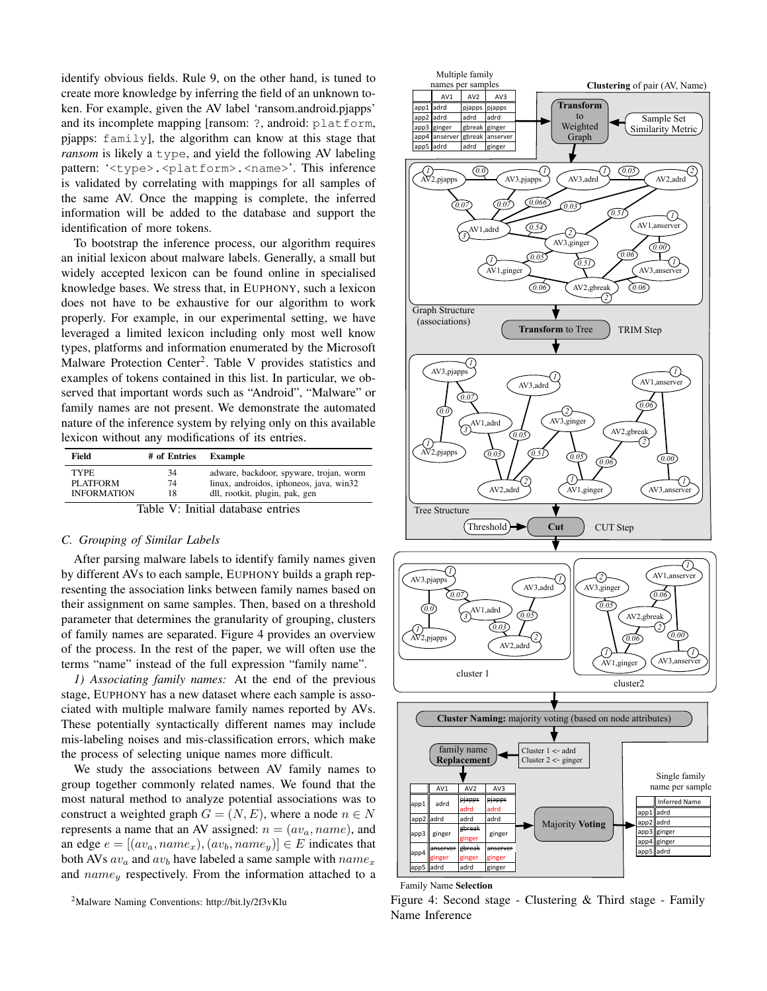identify obvious fields. Rule 9, on the other hand, is tuned to create more knowledge by inferring the field of an unknown token. For example, given the AV label 'ransom.android.pjapps' and its incomplete mapping [ransom: ?, android: platform, pjapps: family], the algorithm can know at this stage that *ransom* is likely a type, and yield the following AV labeling pattern: '<type>.<platform>.<name>'. This inference is validated by correlating with mappings for all samples of the same AV. Once the mapping is complete, the inferred information will be added to the database and support the identification of more tokens.

To bootstrap the inference process, our algorithm requires an initial lexicon about malware labels. Generally, a small but widely accepted lexicon can be found online in specialised knowledge bases. We stress that, in EUPHONY, such a lexicon does not have to be exhaustive for our algorithm to work properly. For example, in our experimental setting, we have leveraged a limited lexicon including only most well know types, platforms and information enumerated by the Microsoft Malware Protection Center<sup>[2](#page-6-0)</sup>. Table [V](#page-6-1) provides statistics and examples of tokens contained in this list. In particular, we observed that important words such as "Android", "Malware" or family names are not present. We demonstrate the automated nature of the inference system by relying only on this available lexicon without any modifications of its entries.

<span id="page-6-1"></span>

| Field                             | # of Entries | Example                                 |  |  |  |  |
|-----------------------------------|--------------|-----------------------------------------|--|--|--|--|
| <b>TYPE</b>                       | 34           | adware, backdoor, spyware, trojan, worm |  |  |  |  |
| PLATFORM                          | 74           | linux, androidos, iphoneos, java, win32 |  |  |  |  |
| <b>INFORMATION</b>                | 18           | dll, rootkit, plugin, pak, gen          |  |  |  |  |
| Table V: Initial database entries |              |                                         |  |  |  |  |

#### *C. Grouping of Similar Labels*

After parsing malware labels to identify family names given by different AVs to each sample, EUPHONY builds a graph representing the association links between family names based on their assignment on same samples. Then, based on a threshold parameter that determines the granularity of grouping, clusters of family names are separated. Figure [4](#page-6-2) provides an overview of the process. In the rest of the paper, we will often use the terms "name" instead of the full expression "family name".

*1) Associating family names:* At the end of the previous stage, EUPHONY has a new dataset where each sample is associated with multiple malware family names reported by AVs. These potentially syntactically different names may include mis-labeling noises and mis-classification errors, which make the process of selecting unique names more difficult.

We study the associations between AV family names to group together commonly related names. We found that the most natural method to analyze potential associations was to construct a weighted graph  $G = (N, E)$ , where a node  $n \in N$ represents a name that an AV assigned:  $n = (av_a, name)$ , and an edge  $e = [(av_a, name_x), (av_b, name_y)] \in E$  indicates that both AVs  $av_a$  and  $av_b$  have labeled a same sample with  $name_x$ and  $name_{y}$  respectively. From the information attached to a

<span id="page-6-0"></span><sup>2</sup>Malware Naming Conventions:<http://bit.ly/2f3vKlu>

<span id="page-6-2"></span>

Family Name **Selection**

Figure 4: Second stage - Clustering & Third stage - Family Name Inference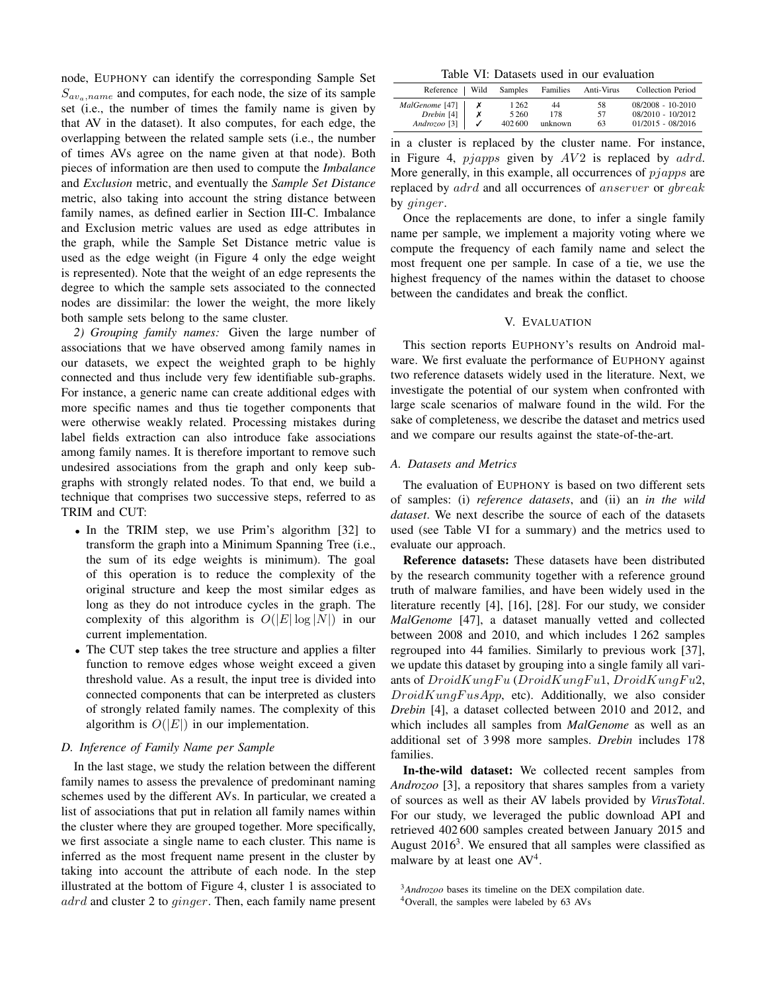node, EUPHONY can identify the corresponding Sample Set  $S_{\alpha v_a, name}$  and computes, for each node, the size of its sample set (i.e., the number of times the family name is given by that AV in the dataset). It also computes, for each edge, the overlapping between the related sample sets (i.e., the number of times AVs agree on the name given at that node). Both pieces of information are then used to compute the *Imbalance* and *Exclusion* metric, and eventually the *Sample Set Distance* metric, also taking into account the string distance between family names, as defined earlier in Section [III-C.](#page-3-6) Imbalance and Exclusion metric values are used as edge attributes in the graph, while the Sample Set Distance metric value is used as the edge weight (in Figure [4](#page-6-2) only the edge weight is represented). Note that the weight of an edge represents the degree to which the sample sets associated to the connected nodes are dissimilar: the lower the weight, the more likely both sample sets belong to the same cluster.

*2) Grouping family names:* Given the large number of associations that we have observed among family names in our datasets, we expect the weighted graph to be highly connected and thus include very few identifiable sub-graphs. For instance, a generic name can create additional edges with more specific names and thus tie together components that were otherwise weakly related. Processing mistakes during label fields extraction can also introduce fake associations among family names. It is therefore important to remove such undesired associations from the graph and only keep subgraphs with strongly related nodes. To that end, we build a technique that comprises two successive steps, referred to as TRIM and CUT:

- In the TRIM step, we use Prim's algorithm [\[32\]](#page-11-41) to transform the graph into a Minimum Spanning Tree (i.e., the sum of its edge weights is minimum). The goal of this operation is to reduce the complexity of the original structure and keep the most similar edges as long as they do not introduce cycles in the graph. The complexity of this algorithm is  $O(|E| \log |N|)$  in our current implementation.
- The CUT step takes the tree structure and applies a filter function to remove edges whose weight exceed a given threshold value. As a result, the input tree is divided into connected components that can be interpreted as clusters of strongly related family names. The complexity of this algorithm is  $O(|E|)$  in our implementation.

#### *D. Inference of Family Name per Sample*

In the last stage, we study the relation between the different family names to assess the prevalence of predominant naming schemes used by the different AVs. In particular, we created a list of associations that put in relation all family names within the cluster where they are grouped together. More specifically, we first associate a single name to each cluster. This name is inferred as the most frequent name present in the cluster by taking into account the attribute of each node. In the step illustrated at the bottom of Figure [4,](#page-6-2) cluster 1 is associated to adrd and cluster 2 to ginger. Then, each family name present

Table VI: Datasets used in our evaluation

<span id="page-7-0"></span>

| Reference   Wild        | Samples | Families | Anti-Virus | <b>Collection Period</b> |
|-------------------------|---------|----------|------------|--------------------------|
| MalGenome [47]          | 1 2 6 2 | 44       | 58         | $08/2008 - 10-2010$      |
| $D$ rebin [4]           | 5 2 6 0 | 178      | 57         | $08/2010 - 10/2012$      |
| Androzoo <sup>[3]</sup> | 402600  | unknown  | 63         | $01/2015 - 08/2016$      |

in a cluster is replaced by the cluster name. For instance, in Figure [4,](#page-6-2)  $pjapps$  given by  $AV2$  is replaced by  $addrd$ . More generally, in this example, all occurrences of  $pjapps$  are replaced by adrd and all occurrences of anserver or gbreak by ginger.

Once the replacements are done, to infer a single family name per sample, we implement a majority voting where we compute the frequency of each family name and select the most frequent one per sample. In case of a tie, we use the highest frequency of the names within the dataset to choose between the candidates and break the conflict.

#### V. EVALUATION

This section reports EUPHONY's results on Android malware. We first evaluate the performance of EUPHONY against two reference datasets widely used in the literature. Next, we investigate the potential of our system when confronted with large scale scenarios of malware found in the wild. For the sake of completeness, we describe the dataset and metrics used and we compare our results against the state-of-the-art.

#### <span id="page-7-3"></span>*A. Datasets and Metrics*

The evaluation of EUPHONY is based on two different sets of samples: (i) *reference datasets*, and (ii) an *in the wild dataset*. We next describe the source of each of the datasets used (see Table [VI](#page-7-0) for a summary) and the metrics used to evaluate our approach.

Reference datasets: These datasets have been distributed by the research community together with a reference ground truth of malware families, and have been widely used in the literature recently [\[4\]](#page-11-1), [\[16\]](#page-11-3), [\[28\]](#page-11-4). For our study, we consider *MalGenome* [\[47\]](#page-11-10), a dataset manually vetted and collected between 2008 and 2010, and which includes 1 262 samples regrouped into 44 families. Similarly to previous work [\[37\]](#page-11-38), we update this dataset by grouping into a single family all variants of  $DroidKungFu (DroidKungFu1, DroidKungFu2,$  $DroidKung FusApp$ , etc). Additionally, we also consider *Drebin* [\[4\]](#page-11-1), a dataset collected between 2010 and 2012, and which includes all samples from *MalGenome* as well as an additional set of 3 998 more samples. *Drebin* includes 178 families.

In-the-wild dataset: We collected recent samples from *Androzoo* [\[3\]](#page-11-11), a repository that shares samples from a variety of sources as well as their AV labels provided by *VirusTotal*. For our study, we leveraged the public download API and retrieved 402 600 samples created between January 2015 and August  $2016<sup>3</sup>$  $2016<sup>3</sup>$  $2016<sup>3</sup>$ . We ensured that all samples were classified as malware by at least one  $AV<sup>4</sup>$  $AV<sup>4</sup>$  $AV<sup>4</sup>$ .

<span id="page-7-2"></span><span id="page-7-1"></span><sup>3</sup>*Androzoo* bases its timeline on the DEX compilation date. <sup>4</sup>Overall, the samples were labeled by 63 AVs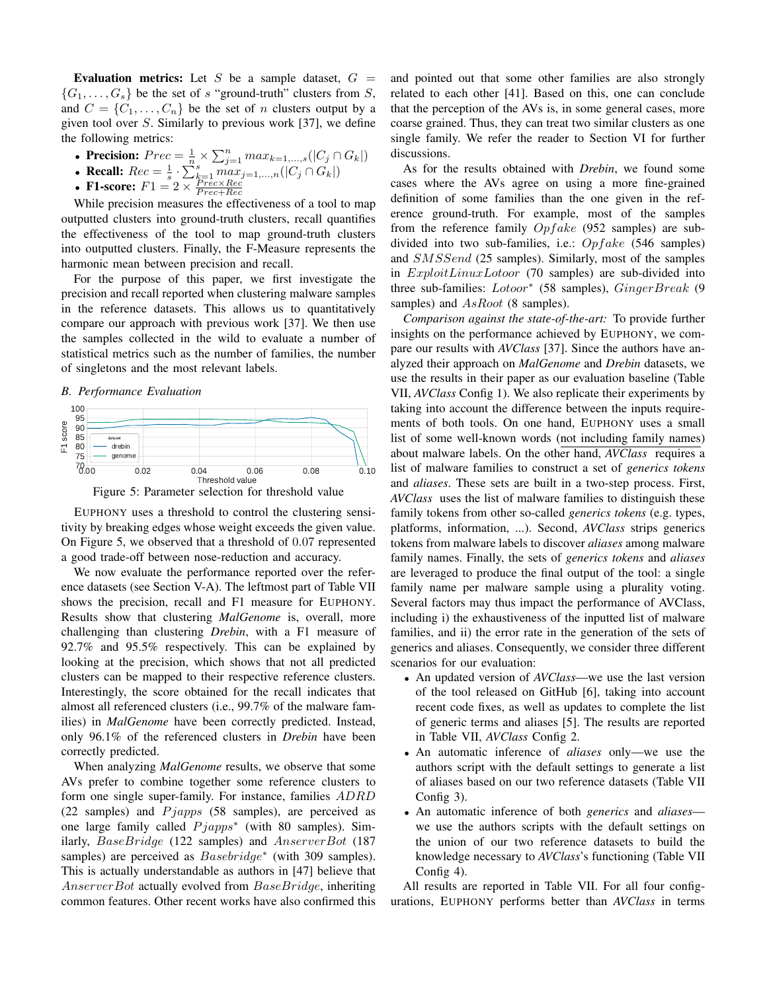Evaluation metrics: Let S be a sample dataset,  $G =$  $\{G_1, \ldots, G_s\}$  be the set of s "ground-truth" clusters from S, and  $C = \{C_1, \ldots, C_n\}$  be the set of n clusters output by a given tool over  $S$ . Similarly to previous work [\[37\]](#page-11-38), we define the following metrics:

- Precision:  $Prec = \frac{1}{n} \times \sum_{j=1}^{n} max_{k=1,...,s} (|C_j \cap G_k|)$
- Recall:  $Rec = \frac{1}{s} \cdot \sum_{k=1}^{s} max_{j=1,...,n} (|C_j \cap G_k|)$ <br>• F1-score:  $F1 2 \times \frac{Prec \times Rec}{2}$

• **F1-score:** 
$$
F1 = 2 \times \frac{Prec \times Rec}{Prec + Rec}
$$

While precision measures the effectiveness of a tool to map outputted clusters into ground-truth clusters, recall quantifies the effectiveness of the tool to map ground-truth clusters into outputted clusters. Finally, the F-Measure represents the harmonic mean between precision and recall.

For the purpose of this paper, we first investigate the precision and recall reported when clustering malware samples in the reference datasets. This allows us to quantitatively compare our approach with previous work [\[37\]](#page-11-38). We then use the samples collected in the wild to evaluate a number of statistical metrics such as the number of families, the number of singletons and the most relevant labels.

#### *B. Performance Evaluation*

<span id="page-8-0"></span>



EUPHONY uses a threshold to control the clustering sensitivity by breaking edges whose weight exceeds the given value. On Figure [5,](#page-8-0) we observed that a threshold of 0.07 represented a good trade-off between nose-reduction and accuracy.

We now evaluate the performance reported over the reference datasets (see Section [V-A\)](#page-7-3). The leftmost part of Table [VII](#page-9-0) shows the precision, recall and F1 measure for EUPHONY. Results show that clustering *MalGenome* is, overall, more challenging than clustering *Drebin*, with a F1 measure of 92.7% and 95.5% respectively. This can be explained by looking at the precision, which shows that not all predicted clusters can be mapped to their respective reference clusters. Interestingly, the score obtained for the recall indicates that almost all referenced clusters (i.e., 99.7% of the malware families) in *MalGenome* have been correctly predicted. Instead, only 96.1% of the referenced clusters in *Drebin* have been correctly predicted.

When analyzing *MalGenome* results, we observe that some AVs prefer to combine together some reference clusters to form one single super-family. For instance, families ADRD (22 samples) and  $Pjapps$  (58 samples), are perceived as one large family called  $Pjapps*$  (with 80 samples). Similarly, BaseBridge (122 samples) and AnserverBot (187 samples) are perceived as  $Basebridge^*$  (with 309 samples). This is actually understandable as authors in [\[47\]](#page-11-10) believe that AnserverBot actually evolved from BaseBridge, inheriting common features. Other recent works have also confirmed this and pointed out that some other families are also strongly related to each other [\[41\]](#page-11-5). Based on this, one can conclude that the perception of the AVs is, in some general cases, more coarse grained. Thus, they can treat two similar clusters as one single family. We refer the reader to Section [VI](#page-10-2) for further discussions.

As for the results obtained with *Drebin*, we found some cases where the AVs agree on using a more fine-grained definition of some families than the one given in the reference ground-truth. For example, most of the samples from the reference family  $Opfake$  (952 samples) are subdivided into two sub-families, i.e.:  $Opfake$  (546 samples) and SMSSend (25 samples). Similarly, most of the samples in ExploitLinuxLotoor (70 samples) are sub-divided into three sub-families: Lotoor<sup>∗</sup> (58 samples), GingerBreak (9 samples) and AsRoot (8 samples).

*Comparison against the state-of-the-art:* To provide further insights on the performance achieved by EUPHONY, we compare our results with *AVClass* [\[37\]](#page-11-38). Since the authors have analyzed their approach on *MalGenome* and *Drebin* datasets, we use the results in their paper as our evaluation baseline (Table [VII,](#page-9-0) *AVClass* Config 1). We also replicate their experiments by taking into account the difference between the inputs requirements of both tools. On one hand, EUPHONY uses a small list of some well-known words (not including family names) about malware labels. On the other hand, *AVClass* requires a list of malware families to construct a set of *generics tokens* and *aliases*. These sets are built in a two-step process. First, *AVClass* uses the list of malware families to distinguish these family tokens from other so-called *generics tokens* (e.g. types, platforms, information, ...). Second, *AVClass* strips generics tokens from malware labels to discover *aliases* among malware family names. Finally, the sets of *generics tokens* and *aliases* are leveraged to produce the final output of the tool: a single family name per malware sample using a plurality voting. Several factors may thus impact the performance of AVClass, including i) the exhaustiveness of the inputted list of malware families, and ii) the error rate in the generation of the sets of generics and aliases. Consequently, we consider three different scenarios for our evaluation:

- An updated version of *AVClass*—we use the last version of the tool released on GitHub [\[6\]](#page-11-42), taking into account recent code fixes, as well as updates to complete the list of generic terms and aliases [\[5\]](#page-11-43). The results are reported in Table [VII,](#page-9-0) *AVClass* Config 2.
- An automatic inference of *aliases* only—we use the authors script with the default settings to generate a list of aliases based on our two reference datasets (Table [VII](#page-9-0) Config 3).
- An automatic inference of both *generics* and *aliases* we use the authors scripts with the default settings on the union of our two reference datasets to build the knowledge necessary to *AVClass*'s functioning (Table [VII](#page-9-0) Config 4).

All results are reported in Table [VII.](#page-9-0) For all four configurations, EUPHONY performs better than *AVClass* in terms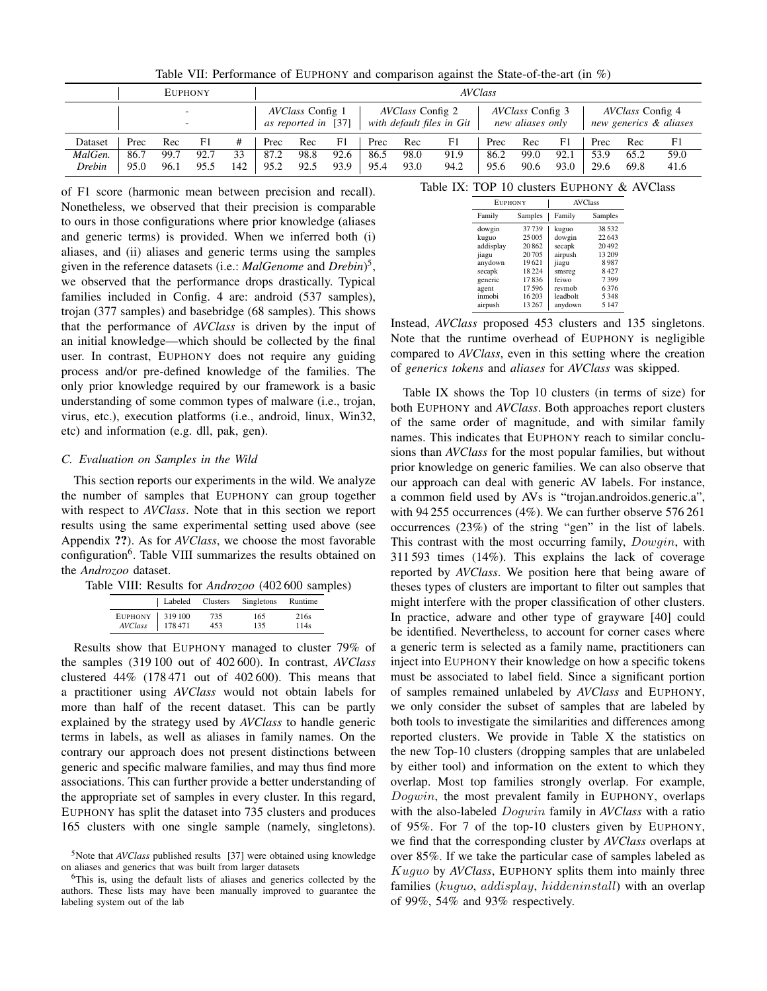<span id="page-9-0"></span>

|         |                                                      | <b>EUPHONY</b> |      |     |                                                |      |                                                      |      |                                             |      | <b>AVClass</b> |                                                   |      |      |      |      |
|---------|------------------------------------------------------|----------------|------|-----|------------------------------------------------|------|------------------------------------------------------|------|---------------------------------------------|------|----------------|---------------------------------------------------|------|------|------|------|
|         | $\overline{\phantom{a}}$<br>$\overline{\phantom{a}}$ |                |      |     | <i>AVClass</i> Config 1<br>as reported in [37] |      | <i>AVClass</i> Config 2<br>with default files in Git |      | <i>AVClass</i> Config 3<br>new aliases only |      |                | <i>AVClass</i> Config 4<br>new generics & aliases |      |      |      |      |
| Dataset | Prec                                                 | Rec            | F1   | #   | Prec                                           | Rec  | F1                                                   | Prec | Rec                                         | F1   | Prec           | Rec                                               | F1   | Prec | Rec  | F1   |
| MalGen. | 86.7                                                 | 99.7           | 92.7 | 33  | 87.2                                           | 98.8 | 92.6                                                 | 86.5 | 98.0                                        | 91.9 | 86.2           | 99.0                                              | 92.1 | 53.9 | 65.2 | 59.0 |
| Drebin  | 95.0                                                 | 96.1           | 95.5 | 142 | 95.2                                           | 92.5 | 93.9                                                 | 95.4 | 93.0                                        | 94.2 | 95.6           | 90.6                                              | 93.0 | 29.6 | 69.8 | 41.6 |

Table VII: Performance of EUPHONY and comparison against the State-of-the-art (in %)

of F1 score (harmonic mean between precision and recall). Nonetheless, we observed that their precision is comparable to ours in those configurations where prior knowledge (aliases and generic terms) is provided. When we inferred both (i) aliases, and (ii) aliases and generic terms using the samples given in the reference datasets (i.e.: *MalGenome* and *Drebin*) [5](#page-9-1) , we observed that the performance drops drastically. Typical families included in Config. 4 are: android (537 samples), trojan (377 samples) and basebridge (68 samples). This shows that the performance of *AVClass* is driven by the input of an initial knowledge—which should be collected by the final user. In contrast, EUPHONY does not require any guiding process and/or pre-defined knowledge of the families. The only prior knowledge required by our framework is a basic understanding of some common types of malware (i.e., trojan, virus, etc.), execution platforms (i.e., android, linux, Win32, etc) and information (e.g. dll, pak, gen).

#### *C. Evaluation on Samples in the Wild*

This section reports our experiments in the wild. We analyze the number of samples that EUPHONY can group together with respect to *AVClass*. Note that in this section we report results using the same experimental setting used above (see Appendix ??). As for *AVClass*, we choose the most favorable configuration<sup>[6](#page-9-2)</sup>. Table [VIII](#page-9-3) summarizes the results obtained on the *Androzoo* dataset.

<span id="page-9-3"></span>Table VIII: Results for *Androzoo* (402 600 samples)

|                                       | Labeled Clusters | Singletons | Runtime      |
|---------------------------------------|------------------|------------|--------------|
| EUPHONY   319100<br>AVClass<br>178471 | 735<br>453       | 165<br>135 | 216s<br>114s |

Results show that EUPHONY managed to cluster 79% of the samples (319 100 out of 402 600). In contrast, *AVClass* clustered  $44\%$  (178471 out of 402600). This means that a practitioner using *AVClass* would not obtain labels for more than half of the recent dataset. This can be partly explained by the strategy used by *AVClass* to handle generic terms in labels, as well as aliases in family names. On the contrary our approach does not present distinctions between generic and specific malware families, and may thus find more associations. This can further provide a better understanding of the appropriate set of samples in every cluster. In this regard, EUPHONY has split the dataset into 735 clusters and produces 165 clusters with one single sample (namely, singletons). <span id="page-9-4"></span>Table IX: TOP 10 clusters EUPHONY & AVClass

| <b>EUPHONY</b> |         | <b>AVClass</b> |         |  |  |
|----------------|---------|----------------|---------|--|--|
| Family         | Samples | Family         | Samples |  |  |
| dowgin         | 37739   | kuguo          | 38532   |  |  |
| kuguo          | 25 005  | dowgin         | 22643   |  |  |
| addisplay      | 20862   | secapk         | 20492   |  |  |
| jiagu          | 20705   | airpush        | 13 209  |  |  |
| anydown        | 19621   | jiagu          | 8987    |  |  |
| secapk         | 18224   | smsreg         | 8427    |  |  |
| generic        | 17836   | feiwo          | 7399    |  |  |
| agent          | 17596   | revmob         | 6376    |  |  |
| inmobi         | 16203   | leadbolt       | 5348    |  |  |
| airpush        | 13267   | anydown        | 5 1 4 7 |  |  |

Instead, *AVClass* proposed 453 clusters and 135 singletons. Note that the runtime overhead of EUPHONY is negligible compared to *AVClass*, even in this setting where the creation of *generics tokens* and *aliases* for *AVClass* was skipped.

Table [IX](#page-9-4) shows the Top 10 clusters (in terms of size) for both EUPHONY and *AVClass*. Both approaches report clusters of the same order of magnitude, and with similar family names. This indicates that EUPHONY reach to similar conclusions than *AVClass* for the most popular families, but without prior knowledge on generic families. We can also observe that our approach can deal with generic AV labels. For instance, a common field used by AVs is "trojan.androidos.generic.a", with 94 255 occurrences (4%). We can further observe 576 261 occurrences (23%) of the string "gen" in the list of labels. This contrast with the most occurring family,  $Downin$ , with 311 593 times (14%). This explains the lack of coverage reported by *AVClass*. We position here that being aware of theses types of clusters are important to filter out samples that might interfere with the proper classification of other clusters. In practice, adware and other type of grayware [\[40\]](#page-11-44) could be identified. Nevertheless, to account for corner cases where a generic term is selected as a family name, practitioners can inject into EUPHONY their knowledge on how a specific tokens must be associated to label field. Since a significant portion of samples remained unlabeled by *AVClass* and EUPHONY, we only consider the subset of samples that are labeled by both tools to investigate the similarities and differences among reported clusters. We provide in Table [X](#page-10-3) the statistics on the new Top-10 clusters (dropping samples that are unlabeled by either tool) and information on the extent to which they overlap. Most top families strongly overlap. For example, Dogwin, the most prevalent family in EUPHONY, overlaps with the also-labeled Dogwin family in *AVClass* with a ratio of 95%. For 7 of the top-10 clusters given by EUPHONY, we find that the corresponding cluster by *AVClass* overlaps at over 85%. If we take the particular case of samples labeled as Kuguo by *AVClass*, EUPHONY splits them into mainly three families (kuguo, addisplay, hiddeninstall) with an overlap of 99%, 54% and 93% respectively.

<span id="page-9-1"></span><sup>5</sup>Note that *AVClass* published results [\[37\]](#page-11-38) were obtained using knowledge on aliases and generics that was built from larger datasets

<span id="page-9-2"></span><sup>6</sup>This is, using the default lists of aliases and generics collected by the authors. These lists may have been manually improved to guarantee the labeling system out of the lab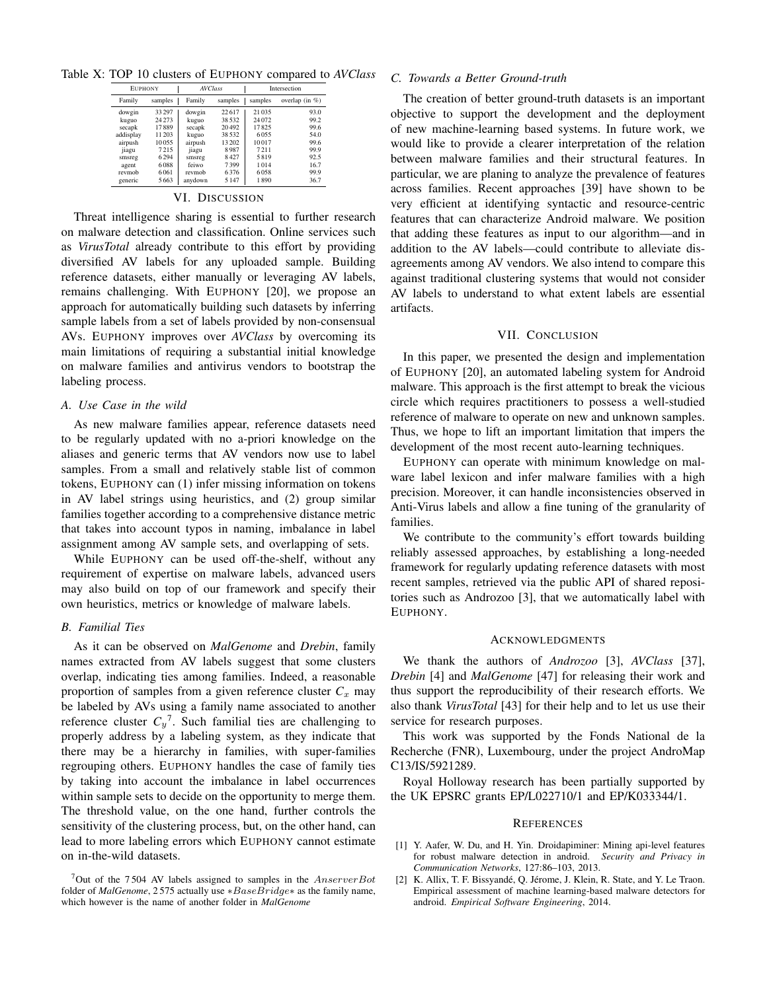<span id="page-10-3"></span>Table X: TOP 10 clusters of EUPHONY compared to *AVClass*

| <b>EUPHONY</b> |         | <b>AVClass</b> |         |         | Intersection      |
|----------------|---------|----------------|---------|---------|-------------------|
| Family         | samples | Family         | samples | samples | overlap (in $%$ ) |
| dowgin         | 33297   | dowgin         | 22.617  | 21035   | 93.0              |
| kuguo          | 24273   | kuguo          | 38 5 32 | 24 072  | 99.2              |
| secapk         | 17889   | secapk         | 20492   | 17825   | 99.6              |
| addisplay      | 11203   | kuguo          | 38.532  | 6055    | 54.0              |
| airpush        | 10055   | airpush        | 13 202  | 10017   | 99.6              |
| jiagu          | 7215    | jiagu          | 8987    | 7211    | 99.9              |
| smsreg         | 6294    | smsreg         | 8427    | 5819    | 92.5              |
| agent          | 6088    | feiwo          | 7399    | 1014    | 16.7              |
| revmob         | 6061    | revmob         | 6376    | 6058    | 99.9              |
| generic        | 5663    | anydown        | 5 1 4 7 | 1890    | 36.7              |

#### VI. DISCUSSION

<span id="page-10-2"></span>Threat intelligence sharing is essential to further research on malware detection and classification. Online services such as *VirusTotal* already contribute to this effort by providing diversified AV labels for any uploaded sample. Building reference datasets, either manually or leveraging AV labels, remains challenging. With EUPHONY [\[20\]](#page-11-0), we propose an approach for automatically building such datasets by inferring sample labels from a set of labels provided by non-consensual AVs. EUPHONY improves over *AVClass* by overcoming its main limitations of requiring a substantial initial knowledge on malware families and antivirus vendors to bootstrap the labeling process.

#### *A. Use Case in the wild*

As new malware families appear, reference datasets need to be regularly updated with no a-priori knowledge on the aliases and generic terms that AV vendors now use to label samples. From a small and relatively stable list of common tokens, EUPHONY can (1) infer missing information on tokens in AV label strings using heuristics, and (2) group similar families together according to a comprehensive distance metric that takes into account typos in naming, imbalance in label assignment among AV sample sets, and overlapping of sets.

While EUPHONY can be used off-the-shelf, without any requirement of expertise on malware labels, advanced users may also build on top of our framework and specify their own heuristics, metrics or knowledge of malware labels.

#### *B. Familial Ties*

As it can be observed on *MalGenome* and *Drebin*, family names extracted from AV labels suggest that some clusters overlap, indicating ties among families. Indeed, a reasonable proportion of samples from a given reference cluster  $C_x$  may be labeled by AVs using a family name associated to another reference cluster  $C_y^7$  $C_y^7$ . Such familial ties are challenging to properly address by a labeling system, as they indicate that there may be a hierarchy in families, with super-families regrouping others. EUPHONY handles the case of family ties by taking into account the imbalance in label occurrences within sample sets to decide on the opportunity to merge them. The threshold value, on the one hand, further controls the sensitivity of the clustering process, but, on the other hand, can lead to more labeling errors which EUPHONY cannot estimate on in-the-wild datasets.

#### *C. Towards a Better Ground-truth*

The creation of better ground-truth datasets is an important objective to support the development and the deployment of new machine-learning based systems. In future work, we would like to provide a clearer interpretation of the relation between malware families and their structural features. In particular, we are planing to analyze the prevalence of features across families. Recent approaches [\[39\]](#page-11-45) have shown to be very efficient at identifying syntactic and resource-centric features that can characterize Android malware. We position that adding these features as input to our algorithm—and in addition to the AV labels—could contribute to alleviate disagreements among AV vendors. We also intend to compare this against traditional clustering systems that would not consider AV labels to understand to what extent labels are essential artifacts.

#### VII. CONCLUSION

In this paper, we presented the design and implementation of EUPHONY [\[20\]](#page-11-0), an automated labeling system for Android malware. This approach is the first attempt to break the vicious circle which requires practitioners to possess a well-studied reference of malware to operate on new and unknown samples. Thus, we hope to lift an important limitation that impers the development of the most recent auto-learning techniques.

EUPHONY can operate with minimum knowledge on malware label lexicon and infer malware families with a high precision. Moreover, it can handle inconsistencies observed in Anti-Virus labels and allow a fine tuning of the granularity of families.

We contribute to the community's effort towards building reliably assessed approaches, by establishing a long-needed framework for regularly updating reference datasets with most recent samples, retrieved via the public API of shared repositories such as Androzoo [\[3\]](#page-11-11), that we automatically label with EUPHONY.

#### ACKNOWLEDGMENTS

We thank the authors of *Androzoo* [\[3\]](#page-11-11), *AVClass* [\[37\]](#page-11-38), *Drebin* [\[4\]](#page-11-1) and *MalGenome* [\[47\]](#page-11-10) for releasing their work and thus support the reproducibility of their research efforts. We also thank *VirusTotal* [\[43\]](#page-11-32) for their help and to let us use their service for research purposes.

This work was supported by the Fonds National de la Recherche (FNR), Luxembourg, under the project AndroMap C13/IS/5921289.

Royal Holloway research has been partially supported by the UK EPSRC grants EP/L022710/1 and EP/K033344/1.

#### **REFERENCES**

- <span id="page-10-0"></span>[1] Y. Aafer, W. Du, and H. Yin. Droidapiminer: Mining api-level features for robust malware detection in android. *Security and Privacy in Communication Networks*, 127:86–103, 2013.
- <span id="page-10-1"></span>[2] K. Allix, T. F. Bissyandé, Q. Jérome, J. Klein, R. State, and Y. Le Traon. Empirical assessment of machine learning-based malware detectors for android. *Empirical Software Engineering*, 2014.

<span id="page-10-4"></span><sup>&</sup>lt;sup>7</sup>Out of the 7504 AV labels assigned to samples in the  $AnswerBot$ folder of *MalGenome*, 2 575 actually use ∗BaseBridge∗ as the family name, which however is the name of another folder in *MalGenome*